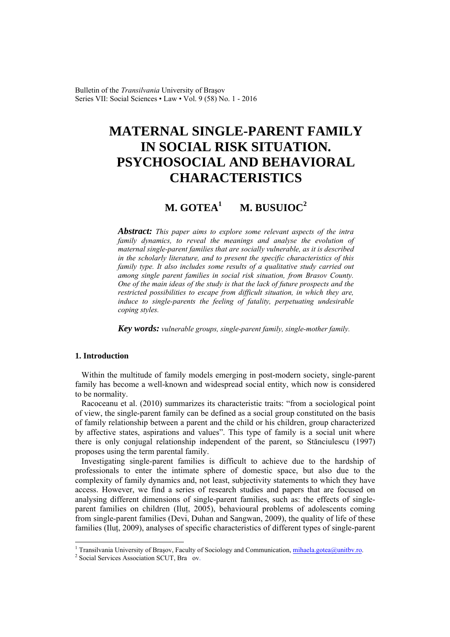Bulletin of the *Transilvania* University of Braşov Series VII: Social Sciences • Law • Vol. 9 (58) No. 1 - 2016

# **MATERNAL SINGLE-PARENT FAMILY IN SOCIAL RISK SITUATION. PSYCHOSOCIAL AND BEHAVIORAL CHARACTERISTICS**

#### **M. GOTEA1 M. BUSUIOC<sup>2</sup>**

*Abstract: This paper aims to explore some relevant aspects of the intra family dynamics, to reveal the meanings and analyse the evolution of maternal single-parent families that are socially vulnerable, as it is described in the scholarly literature, and to present the specific characteristics of this family type. It also includes some results of a qualitative study carried out among single parent families in social risk situation, from Brasov County. One of the main ideas of the study is that the lack of future prospects and the restricted possibilities to escape from difficult situation, in which they are, induce to single-parents the feeling of fatality, perpetuating undesirable coping styles.* 

*Key words: vulnerable groups, single-parent family, single-mother family.*

# **1. Introduction**

 $\overline{a}$ 

Within the multitude of family models emerging in post-modern society, single-parent family has become a well-known and widespread social entity, which now is considered to be normality.

Racoceanu et al. (2010) summarizes its characteristic traits: "from a sociological point of view, the single-parent family can be defined as a social group constituted on the basis of family relationship between a parent and the child or his children, group characterized by affective states, aspirations and values". This type of family is a social unit where there is only conjugal relationship independent of the parent, so Stănciulescu (1997) proposes using the term parental family.

Investigating single-parent families is difficult to achieve due to the hardship of professionals to enter the intimate sphere of domestic space, but also due to the complexity of family dynamics and, not least, subjectivity statements to which they have access. However, we find a series of research studies and papers that are focused on analysing different dimensions of single-parent families, such as: the effects of singleparent families on children (Iluţ, 2005), behavioural problems of adolescents coming from single-parent families (Devi, Duhan and Sangwan, 2009), the quality of life of these families (Ilut, 2009), analyses of specific characteristics of different types of single-parent

<sup>&</sup>lt;sup>1</sup> Transilvania University of Brașov, Faculty of Sociology and Communication, *mihaela.gotea@unitbv.ro.*  $2^2$  Social Services Association SCUT, Pragment

<sup>&</sup>lt;sup>2</sup> Social Services Association SCUT, Bra ov.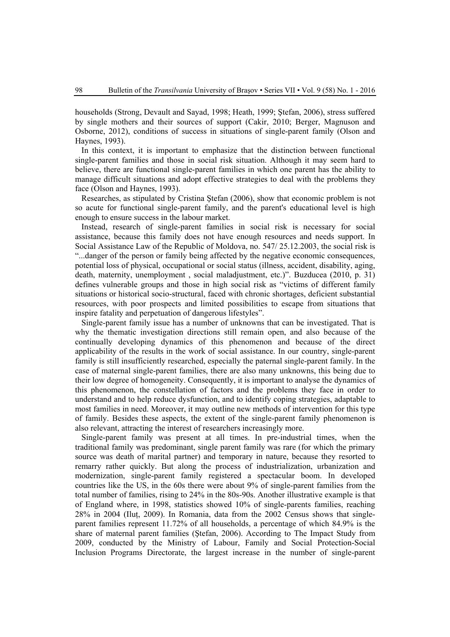households (Strong, Devault and Sayad, 1998; Heath, 1999; Ştefan, 2006), stress suffered by single mothers and their sources of support (Cakir, 2010; Berger, Magnuson and Osborne, 2012), conditions of success in situations of single-parent family (Olson and Haynes, 1993).

In this context, it is important to emphasize that the distinction between functional single-parent families and those in social risk situation. Although it may seem hard to believe, there are functional single-parent families in which one parent has the ability to manage difficult situations and adopt effective strategies to deal with the problems they face (Olson and Haynes, 1993).

Researches, as stipulated by Cristina Ştefan (2006), show that economic problem is not so acute for functional single-parent family, and the parent's educational level is high enough to ensure success in the labour market.

Instead, research of single-parent families in social risk is necessary for social assistance, because this family does not have enough resources and needs support. In Social Assistance Law of the Republic of Moldova, no. 547/ 25.12.2003, the social risk is "...danger of the person or family being affected by the negative economic consequences, potential loss of physical, occupational or social status (illness, accident, disability, aging, death, maternity, unemployment , social maladjustment, etc.)". Buzducea (2010, p. 31) defines vulnerable groups and those in high social risk as "victims of different family situations or historical socio-structural, faced with chronic shortages, deficient substantial resources, with poor prospects and limited possibilities to escape from situations that inspire fatality and perpetuation of dangerous lifestyles".

Single-parent family issue has a number of unknowns that can be investigated. That is why the thematic investigation directions still remain open, and also because of the continually developing dynamics of this phenomenon and because of the direct applicability of the results in the work of social assistance. In our country, single-parent family is still insufficiently researched, especially the paternal single-parent family. In the case of maternal single-parent families, there are also many unknowns, this being due to their low degree of homogeneity. Consequently, it is important to analyse the dynamics of this phenomenon, the constellation of factors and the problems they face in order to understand and to help reduce dysfunction, and to identify coping strategies, adaptable to most families in need. Moreover, it may outline new methods of intervention for this type of family. Besides these aspects, the extent of the single-parent family phenomenon is also relevant, attracting the interest of researchers increasingly more.

Single-parent family was present at all times. In pre-industrial times, when the traditional family was predominant, single parent family was rare (for which the primary source was death of marital partner) and temporary in nature, because they resorted to remarry rather quickly. But along the process of industrialization, urbanization and modernization, single-parent family registered a spectacular boom. In developed countries like the US, in the 60s there were about 9% of single-parent families from the total number of families, rising to 24% in the 80s-90s. Another illustrative example is that of England where, in 1998, statistics showed 10% of single-parents families, reaching 28% in 2004 (Iluţ, 2009). In Romania, data from the 2002 Census shows that singleparent families represent 11.72% of all households, a percentage of which 84.9% is the share of maternal parent families (Ştefan, 2006). According to The Impact Study from 2009, conducted by the Ministry of Labour, Family and Social Protection-Social Inclusion Programs Directorate, the largest increase in the number of single-parent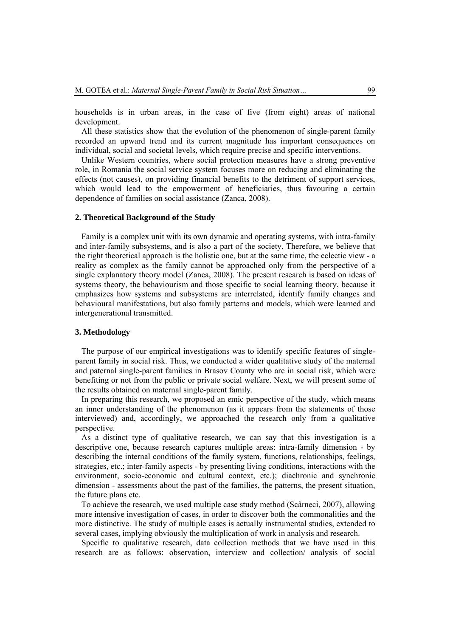households is in urban areas, in the case of five (from eight) areas of national development.

All these statistics show that the evolution of the phenomenon of single-parent family recorded an upward trend and its current magnitude has important consequences on individual, social and societal levels, which require precise and specific interventions.

Unlike Western countries, where social protection measures have a strong preventive role, in Romania the social service system focuses more on reducing and eliminating the effects (not causes), on providing financial benefits to the detriment of support services, which would lead to the empowerment of beneficiaries, thus favouring a certain dependence of families on social assistance (Zanca, 2008).

#### **2. Theoretical Background of the Study**

Family is a complex unit with its own dynamic and operating systems, with intra-family and inter-family subsystems, and is also a part of the society. Therefore, we believe that the right theoretical approach is the holistic one, but at the same time, the eclectic view - a reality as complex as the family cannot be approached only from the perspective of a single explanatory theory model (Zanca, 2008). The present research is based on ideas of systems theory, the behaviourism and those specific to social learning theory, because it emphasizes how systems and subsystems are interrelated, identify family changes and behavioural manifestations, but also family patterns and models, which were learned and intergenerational transmitted.

#### **3. Methodology**

The purpose of our empirical investigations was to identify specific features of singleparent family in social risk. Thus, we conducted a wider qualitative study of the maternal and paternal single-parent families in Brasov County who are in social risk, which were benefiting or not from the public or private social welfare. Next, we will present some of the results obtained on maternal single-parent family.

In preparing this research, we proposed an emic perspective of the study, which means an inner understanding of the phenomenon (as it appears from the statements of those interviewed) and, accordingly, we approached the research only from a qualitative perspective.

As a distinct type of qualitative research, we can say that this investigation is a descriptive one, because research captures multiple areas: intra-family dimension - by describing the internal conditions of the family system, functions, relationships, feelings, strategies, etc.; inter-family aspects - by presenting living conditions, interactions with the environment, socio-economic and cultural context, etc.); diachronic and synchronic dimension - assessments about the past of the families, the patterns, the present situation, the future plans etc.

To achieve the research, we used multiple case study method (Scârneci, 2007), allowing more intensive investigation of cases, in order to discover both the commonalities and the more distinctive. The study of multiple cases is actually instrumental studies, extended to several cases, implying obviously the multiplication of work in analysis and research.

Specific to qualitative research, data collection methods that we have used in this research are as follows: observation, interview and collection/ analysis of social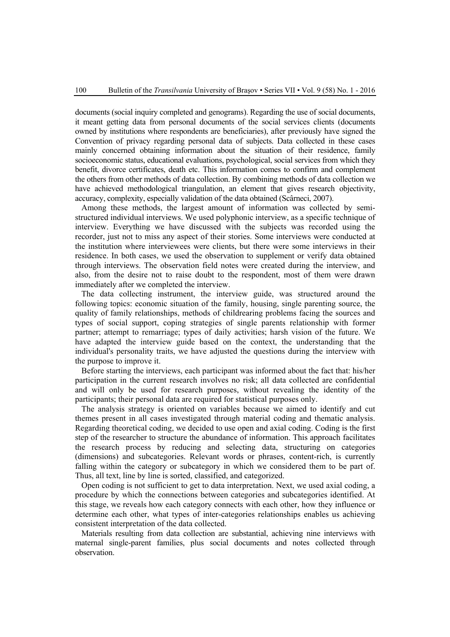documents (social inquiry completed and genograms). Regarding the use of social documents, it meant getting data from personal documents of the social services clients (documents owned by institutions where respondents are beneficiaries), after previously have signed the Convention of privacy regarding personal data of subjects. Data collected in these cases mainly concerned obtaining information about the situation of their residence, family socioeconomic status, educational evaluations, psychological, social services from which they benefit, divorce certificates, death etc. This information comes to confirm and complement the others from other methods of data collection. By combining methods of data collection we have achieved methodological triangulation, an element that gives research objectivity, accuracy, complexity, especially validation of the data obtained (Scârneci, 2007).

Among these methods, the largest amount of information was collected by semistructured individual interviews. We used polyphonic interview, as a specific technique of interview. Everything we have discussed with the subjects was recorded using the recorder, just not to miss any aspect of their stories. Some interviews were conducted at the institution where interviewees were clients, but there were some interviews in their residence. In both cases, we used the observation to supplement or verify data obtained through interviews. The observation field notes were created during the interview, and also, from the desire not to raise doubt to the respondent, most of them were drawn immediately after we completed the interview.

The data collecting instrument, the interview guide, was structured around the following topics: economic situation of the family, housing, single parenting source, the quality of family relationships, methods of childrearing problems facing the sources and types of social support, coping strategies of single parents relationship with former partner; attempt to remarriage; types of daily activities; harsh vision of the future. We have adapted the interview guide based on the context, the understanding that the individual's personality traits, we have adjusted the questions during the interview with the purpose to improve it.

Before starting the interviews, each participant was informed about the fact that: his/her participation in the current research involves no risk; all data collected are confidential and will only be used for research purposes, without revealing the identity of the participants; their personal data are required for statistical purposes only.

The analysis strategy is oriented on variables because we aimed to identify and cut themes present in all cases investigated through material coding and thematic analysis. Regarding theoretical coding, we decided to use open and axial coding. Coding is the first step of the researcher to structure the abundance of information. This approach facilitates the research process by reducing and selecting data, structuring on categories (dimensions) and subcategories. Relevant words or phrases, content-rich, is currently falling within the category or subcategory in which we considered them to be part of. Thus, all text, line by line is sorted, classified, and categorized.

Open coding is not sufficient to get to data interpretation. Next, we used axial coding, a procedure by which the connections between categories and subcategories identified. At this stage, we reveals how each category connects with each other, how they influence or determine each other, what types of inter-categories relationships enables us achieving consistent interpretation of the data collected.

Materials resulting from data collection are substantial, achieving nine interviews with maternal single-parent families, plus social documents and notes collected through observation.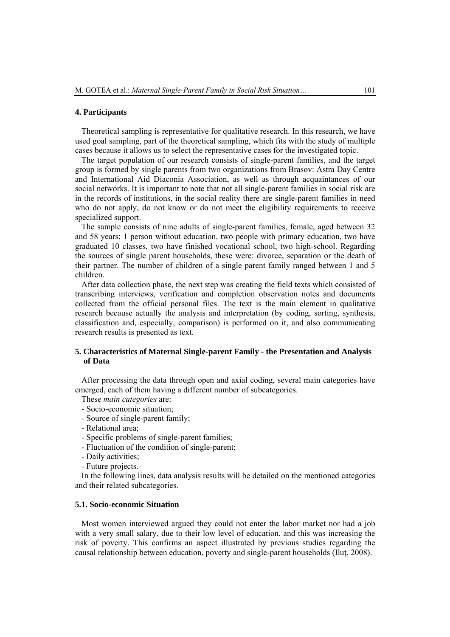#### **4. Participants**

Theoretical sampling is representative for qualitative research. In this research, we have used goal sampling, part of the theoretical sampling, which fits with the study of multiple cases because it allows us to select the representative cases for the investigated topic.

The target population of our research consists of single-parent families, and the target group is formed by single parents from two organizations from Brasov: Astra Day Centre and International Aid Diaconia Association, as well as through acquaintances of our social networks. It is important to note that not all single-parent families in social risk are in the records of institutions, in the social reality there are single-parent families in need who do not apply, do not know or do not meet the eligibility requirements to receive specialized support.

The sample consists of nine adults of single-parent families, female, aged between 32 and 58 years; 1 person without education, two people with primary education, two have graduated 10 classes, two have finished vocational school, two high-school. Regarding the sources of single parent households, these were: divorce, separation or the death of their partner. The number of children of a single parent family ranged between 1 and 5 children.

After data collection phase, the next step was creating the field texts which consisted of transcribing interviews, verification and completion observation notes and documents collected from the official personal files. The text is the main element in qualitative research because actually the analysis and interpretation (by coding, sorting, synthesis, classification and, especially, comparison) is performed on it, and also communicating research results is presented as text.

# **5. Characteristics of Maternal Single-parent Family - the Presentation and Analysis of Data**

After processing the data through open and axial coding, several main categories have emerged, each of them having a different number of subcategories.

- These *main categories* are:
- Socio-economic situation;
- Source of single-parent family;
- Relational area;
- Specific problems of single-parent families;
- Fluctuation of the condition of single-parent;
- Daily activities;
- Future projects.

In the following lines, data analysis results will be detailed on the mentioned categories and their related subcategories.

#### **5.1. Socio-economic Situation**

Most women interviewed argued they could not enter the labor market nor had a job with a very small salary, due to their low level of education, and this was increasing the risk of poverty. This confirms an aspect illustrated by previous studies regarding the causal relationship between education, poverty and single-parent households (Iluţ, 2008).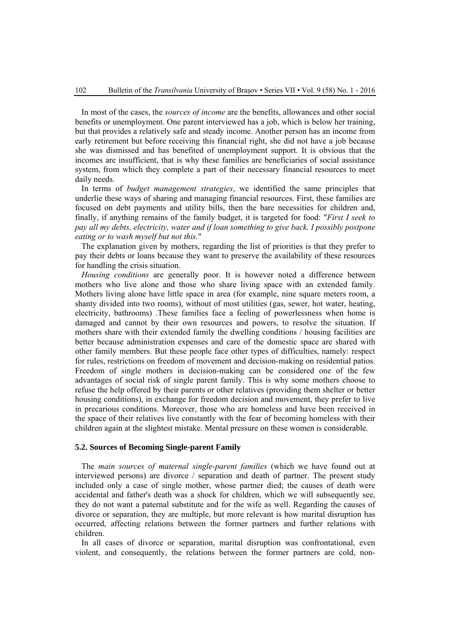In most of the cases, the *sources of income* are the benefits, allowances and other social benefits or unemployment. One parent interviewed has a job, which is below her training, but that provides a relatively safe and steady income. Another person has an income from early retirement but before receiving this financial right, she did not have a job because she was dismissed and has benefited of unemployment support. It is obvious that the incomes are insufficient, that is why these families are beneficiaries of social assistance system, from which they complete a part of their necessary financial resources to meet daily needs.

In terms of *budget management strategies*, we identified the same principles that underlie these ways of sharing and managing financial resources. First, these families are focused on debt payments and utility bills, then the bare necessities for children and, finally, if anything remains of the family budget, it is targeted for food: "*First I seek to pay all my debts, electricity, water and if loan something to give back. I possibly postpone eating or to wash myself but not this.*"

The explanation given by mothers, regarding the list of priorities is that they prefer to pay their debts or loans because they want to preserve the availability of these resources for handling the crisis situation.

*Housing conditions* are generally poor. It is however noted a difference between mothers who live alone and those who share living space with an extended family. Mothers living alone have little space in area (for example, nine square meters room, a shanty divided into two rooms), without of most utilities (gas, sewer, hot water, heating, electricity, bathrooms) .These families face a feeling of powerlessness when home is damaged and cannot by their own resources and powers, to resolve the situation. If mothers share with their extended family the dwelling conditions / housing facilities are better because administration expenses and care of the domestic space are shared with other family members. But these people face other types of difficulties, namely: respect for rules, restrictions on freedom of movement and decision-making on residential patios. Freedom of single mothers in decision-making can be considered one of the few advantages of social risk of single parent family. This is why some mothers choose to refuse the help offered by their parents or other relatives (providing them shelter or better housing conditions), in exchange for freedom decision and movement, they prefer to live in precarious conditions. Moreover, those who are homeless and have been received in the space of their relatives live constantly with the fear of becoming homeless with their children again at the slightest mistake. Mental pressure on these women is considerable.

#### **5.2. Sources of Becoming Single-parent Family**

The *main sources of maternal single-parent families* (which we have found out at interviewed persons) are divorce / separation and death of partner. The present study included only a case of single mother, whose partner died; the causes of death were accidental and father's death was a shock for children, which we will subsequently see, they do not want a paternal substitute and for the wife as well. Regarding the causes of divorce or separation, they are multiple, but more relevant is how marital disruption has occurred, affecting relations between the former partners and further relations with children.

In all cases of divorce or separation, marital disruption was confrontational, even violent, and consequently, the relations between the former partners are cold, non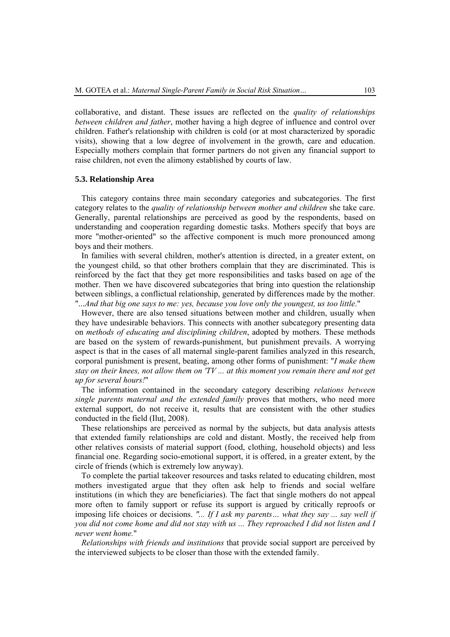collaborative, and distant. These issues are reflected on the *quality of relationships between children and father*, mother having a high degree of influence and control over children. Father's relationship with children is cold (or at most characterized by sporadic visits), showing that a low degree of involvement in the growth, care and education. Especially mothers complain that former partners do not given any financial support to raise children, not even the alimony established by courts of law.

# **5.3. Relationship Area**

This category contains three main secondary categories and subcategories. The first category relates to the *quality of relationship between mother and children* she take care. Generally, parental relationships are perceived as good by the respondents, based on understanding and cooperation regarding domestic tasks. Mothers specify that boys are more "mother-oriented" so the affective component is much more pronounced among boys and their mothers.

In families with several children, mother's attention is directed, in a greater extent, on the youngest child, so that other brothers complain that they are discriminated. This is reinforced by the fact that they get more responsibilities and tasks based on age of the mother. Then we have discovered subcategories that bring into question the relationship between siblings, a conflictual relationship, generated by differences made by the mother. "...*And that big one says to me: yes, because you love only the youngest, us too little*."

However, there are also tensed situations between mother and children, usually when they have undesirable behaviors. This connects with another subcategory presenting data on *methods of educating and disciplining children*, adopted by mothers. These methods are based on the system of rewards-punishment, but punishment prevails. A worrying aspect is that in the cases of all maternal single-parent families analyzed in this research, corporal punishment is present, beating, among other forms of punishment: "*I make them stay on their knees, not allow them on 'TV ... at this moment you remain there and not get up for several hours!*"

The information contained in the secondary category describing *relations between single parents maternal and the extended family* proves that mothers, who need more external support, do not receive it, results that are consistent with the other studies conducted in the field (Ilut. 2008).

These relationships are perceived as normal by the subjects, but data analysis attests that extended family relationships are cold and distant. Mostly, the received help from other relatives consists of material support (food, clothing, household objects) and less financial one. Regarding socio-emotional support, it is offered, in a greater extent, by the circle of friends (which is extremely low anyway).

To complete the partial takeover resources and tasks related to educating children, most mothers investigated argue that they often ask help to friends and social welfare institutions (in which they are beneficiaries). The fact that single mothers do not appeal more often to family support or refuse its support is argued by critically reproofs or imposing life choices or decisions. *"... If I ask my parents… what they say ... say well if you did not come home and did not stay with us ... They reproached I did not listen and I never went home.*"

*Relationships with friends and institutions* that provide social support are perceived by the interviewed subjects to be closer than those with the extended family.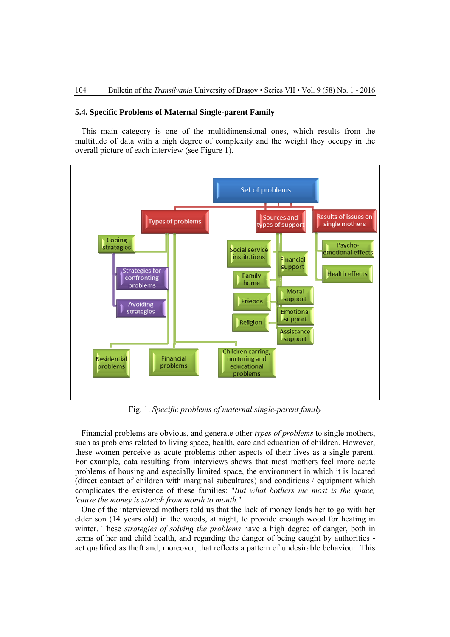#### **5.4. Specific Problems of Maternal Single-parent Family**

This main category is one of the multidimensional ones, which results from the multitude of data with a high degree of complexity and the weight they occupy in the overall picture of each interview (see Figure 1).



Fig. 1. *Specific problems of maternal single-parent family* 

Financial problems are obvious, and generate other *types of problems* to single mothers, such as problems related to living space, health, care and education of children. However, these women perceive as acute problems other aspects of their lives as a single parent. For example, data resulting from interviews shows that most mothers feel more acute problems of housing and especially limited space, the environment in which it is located (direct contact of children with marginal subcultures) and conditions / equipment which complicates the existence of these families: "*But what bothers me most is the space, 'cause the money is stretch from month to month.*"

One of the interviewed mothers told us that the lack of money leads her to go with her elder son (14 years old) in the woods, at night, to provide enough wood for heating in winter. These *strategies of solving the problems* have a high degree of danger, both in terms of her and child health, and regarding the danger of being caught by authorities act qualified as theft and, moreover, that reflects a pattern of undesirable behaviour. This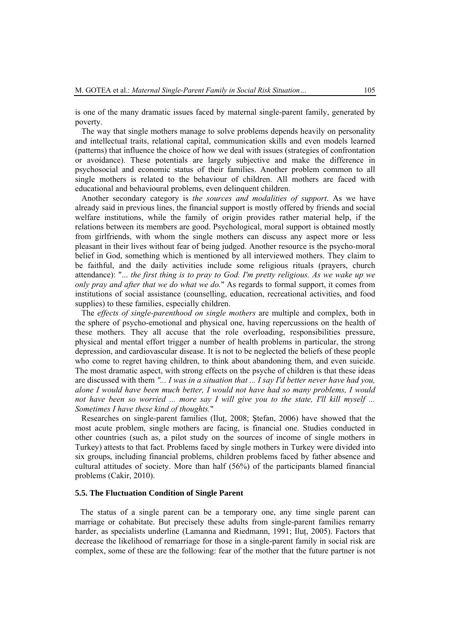is one of the many dramatic issues faced by maternal single-parent family, generated by poverty.

The way that single mothers manage to solve problems depends heavily on personality and intellectual traits, relational capital, communication skills and even models learned (patterns) that influence the choice of how we deal with issues (strategies of confrontation or avoidance). These potentials are largely subjective and make the difference in psychosocial and economic status of their families. Another problem common to all single mothers is related to the behaviour of children. All mothers are faced with educational and behavioural problems, even delinquent children.

Another secondary category is *the sources and modalities of support*. As we have already said in previous lines, the financial support is mostly offered by friends and social welfare institutions, while the family of origin provides rather material help, if the relations between its members are good. Psychological, moral support is obtained mostly from girlfriends, with whom the single mothers can discuss any aspect more or less pleasant in their lives without fear of being judged. Another resource is the psycho-moral belief in God, something which is mentioned by all interviewed mothers. They claim to be faithful, and the daily activities include some religious rituals (prayers, church attendance): "... *the first thing is to pray to God. I'm pretty religious. As we wake up we only pray and after that we do what we do.*" As regards to formal support, it comes from institutions of social assistance (counselling, education, recreational activities, and food supplies) to these families, especially children.

The *effects of single-parenthood on single mothers* are multiple and complex, both in the sphere of psycho-emotional and physical one, having repercussions on the health of these mothers. They all accuse that the role overloading, responsibilities pressure, physical and mental effort trigger a number of health problems in particular, the strong depression, and cardiovascular disease. It is not to be neglected the beliefs of these people who come to regret having children, to think about abandoning them, and even suicide. The most dramatic aspect, with strong effects on the psyche of children is that these ideas are discussed with them *"... I was in a situation that ... I say I'd better never have had you, alone I would have been much better, I would not have had so many problems, I would not have been so worried ... more say I will give you to the state, I'll kill myself ... Sometimes I have these kind of thoughts.*"

Researches on single-parent families (Ilut. 2008; Stefan, 2006) have showed that the most acute problem, single mothers are facing, is financial one. Studies conducted in other countries (such as, a pilot study on the sources of income of single mothers in Turkey) attests to that fact. Problems faced by single mothers in Turkey were divided into six groups, including financial problems, children problems faced by father absence and cultural attitudes of society. More than half (56%) of the participants blamed financial problems (Cakir, 2010).

# **5.5. The Fluctuation Condition of Single Parent**

The status of a single parent can be a temporary one, any time single parent can marriage or cohabitate. But precisely these adults from single-parent families remarry harder, as specialists underline (Lamanna and Riedmann, 1991; Iluț, 2005). Factors that decrease the likelihood of remarriage for those in a single-parent family in social risk are complex, some of these are the following: fear of the mother that the future partner is not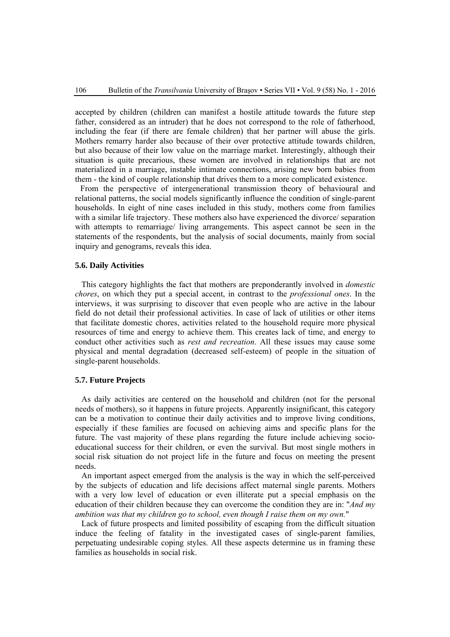accepted by children (children can manifest a hostile attitude towards the future step father, considered as an intruder) that he does not correspond to the role of fatherhood, including the fear (if there are female children) that her partner will abuse the girls. Mothers remarry harder also because of their over protective attitude towards children, but also because of their low value on the marriage market. Interestingly, although their situation is quite precarious, these women are involved in relationships that are not materialized in a marriage, instable intimate connections, arising new born babies from them - the kind of couple relationship that drives them to a more complicated existence.

From the perspective of intergenerational transmission theory of behavioural and relational patterns, the social models significantly influence the condition of single-parent households. In eight of nine cases included in this study, mothers come from families with a similar life trajectory. These mothers also have experienced the divorce/ separation with attempts to remarriage/ living arrangements. This aspect cannot be seen in the statements of the respondents, but the analysis of social documents, mainly from social inquiry and genograms, reveals this idea.

### **5.6. Daily Activities**

This category highlights the fact that mothers are preponderantly involved in *domestic chores*, on which they put a special accent, in contrast to the *professional ones*. In the interviews, it was surprising to discover that even people who are active in the labour field do not detail their professional activities. In case of lack of utilities or other items that facilitate domestic chores, activities related to the household require more physical resources of time and energy to achieve them. This creates lack of time, and energy to conduct other activities such as *rest and recreation*. All these issues may cause some physical and mental degradation (decreased self-esteem) of people in the situation of single-parent households.

### **5.7. Future Projects**

As daily activities are centered on the household and children (not for the personal needs of mothers), so it happens in future projects. Apparently insignificant, this category can be a motivation to continue their daily activities and to improve living conditions, especially if these families are focused on achieving aims and specific plans for the future. The vast majority of these plans regarding the future include achieving socioeducational success for their children, or even the survival. But most single mothers in social risk situation do not project life in the future and focus on meeting the present needs.

An important aspect emerged from the analysis is the way in which the self-perceived by the subjects of education and life decisions affect maternal single parents. Mothers with a very low level of education or even illiterate put a special emphasis on the education of their children because they can overcome the condition they are in: "*And my ambition was that my children go to school, even though I raise them on my own.*"

Lack of future prospects and limited possibility of escaping from the difficult situation induce the feeling of fatality in the investigated cases of single-parent families, perpetuating undesirable coping styles. All these aspects determine us in framing these families as households in social risk.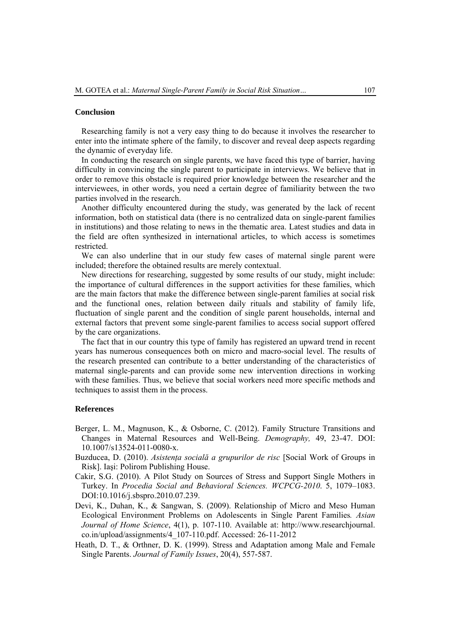#### **Conclusion**

Researching family is not a very easy thing to do because it involves the researcher to enter into the intimate sphere of the family, to discover and reveal deep aspects regarding the dynamic of everyday life.

In conducting the research on single parents, we have faced this type of barrier, having difficulty in convincing the single parent to participate in interviews. We believe that in order to remove this obstacle is required prior knowledge between the researcher and the interviewees, in other words, you need a certain degree of familiarity between the two parties involved in the research.

Another difficulty encountered during the study, was generated by the lack of recent information, both on statistical data (there is no centralized data on single-parent families in institutions) and those relating to news in the thematic area. Latest studies and data in the field are often synthesized in international articles, to which access is sometimes restricted.

We can also underline that in our study few cases of maternal single parent were included; therefore the obtained results are merely contextual.

New directions for researching, suggested by some results of our study, might include: the importance of cultural differences in the support activities for these families, which are the main factors that make the difference between single-parent families at social risk and the functional ones, relation between daily rituals and stability of family life, fluctuation of single parent and the condition of single parent households, internal and external factors that prevent some single-parent families to access social support offered by the care organizations.

The fact that in our country this type of family has registered an upward trend in recent years has numerous consequences both on micro and macro-social level. The results of the research presented can contribute to a better understanding of the characteristics of maternal single-parents and can provide some new intervention directions in working with these families. Thus, we believe that social workers need more specific methods and techniques to assist them in the process.

#### **References**

- Berger, L. M., Magnuson, K., & Osborne, C. (2012). Family Structure Transitions and Changes in Maternal Resources and Well-Being. *Demography,* 49, 23-47. DOI: 10.1007/s13524-011-0080-x.
- Buzducea, D. (2010). *Asistenţa socială a grupurilor de risc* [Social Work of Groups in Risk]. Iaşi: Polirom Publishing House.
- Cakir, S.G. (2010). A Pilot Study on Sources of Stress and Support Single Mothers in Turkey. In *Procedia Social and Behavioral Sciences. WCPCG-2010*. 5, 1079–1083. DOI:10.1016/j.sbspro.2010.07.239.
- Devi, K., Duhan, K., & Sangwan, S. (2009). Relationship of Micro and Meso Human Ecological Environment Problems on Adolescents in Single Parent Families*. Asian Journal of Home Science*, 4(1), p. 107-110. Available at: http://www.researchjournal. co.in/upload/assignments/4\_107-110.pdf. Accessed: 26-11-2012
- Heath, D. T., & Orthner, D. K. (1999). Stress and Adaptation among Male and Female Single Parents. *Journal of Family Issues*, 20(4), 557-587.